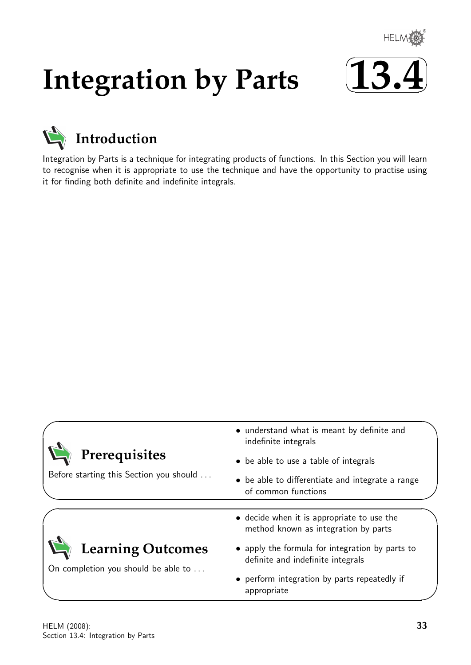

# **Integration by Parts**





Integration by Parts is a technique for integrating products of functions. In this Section you will learn to recognise when it is appropriate to use the technique and have the opportunity to practise using it for finding both definite and indefinite integrals.

| Prerequisites<br>Before starting this Section you should        | • understand what is meant by definite and<br>indefinite integrals                   |
|-----------------------------------------------------------------|--------------------------------------------------------------------------------------|
|                                                                 | • be able to use a table of integrals                                                |
|                                                                 | • be able to differentiate and integrate a range<br>of common functions              |
| <b>Learning Outcomes</b><br>On completion you should be able to | • decide when it is appropriate to use the<br>method known as integration by parts   |
|                                                                 | • apply the formula for integration by parts to<br>definite and indefinite integrals |
|                                                                 | • perform integration by parts repeatedly if<br>appropriate                          |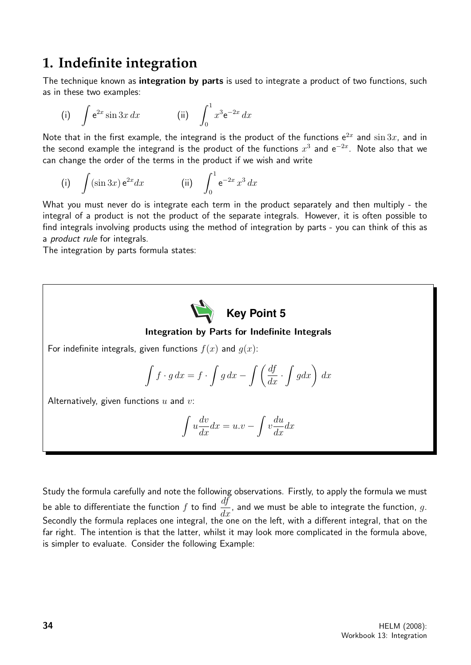# **1. Indefinite integration**

The technique known as integration by parts is used to integrate a product of two functions, such as in these two examples:

(i) 
$$
\int e^{2x} \sin 3x \, dx
$$
 (ii)  $\int_0^1 x^3 e^{-2x} \, dx$ 

Note that in the first example, the integrand is the product of the functions  $e^{2x}$  and  $\sin 3x$ , and in the second example the integrand is the product of the functions  $x^3$  and  ${\rm e}^{-2x}$ . Note also that we can change the order of the terms in the product if we wish and write

(i) 
$$
\int (\sin 3x) e^{2x} dx
$$
 (ii)  $\int_0^1 e^{-2x} x^3 dx$ 

What you must never do is integrate each term in the product separately and then multiply - the integral of a product is not the product of the separate integrals. However, it is often possible to find integrals involving products using the method of integration by parts - you can think of this as a *product rule* for integrals.

The integration by parts formula states:

Key Point 5 Integration by Parts for Indefinite Integrals For indefinite integrals, given functions  $f(x)$  and  $g(x)$ :  $\int f \cdot g \, dx = f \cdot \int g \, dx - \int \left( \frac{df}{dx} \cdot \int g dx \right) \, dx$ Alternatively, given functions  $u$  and  $v$ :  $\int u$  $\frac{dv}{dx}dx = u \cdot v - \int v$ du  $\frac{d}{dx}dx$ 

Study the formula carefully and note the following observations. Firstly, to apply the formula we must be able to differentiate the function  $f$  to find  $\frac{df}{dx}$  $\frac{dy}{dx}$ , and we must be able to integrate the function, g. Secondly the formula replaces one integral, the one on the left, with a different integral, that on the far right. The intention is that the latter, whilst it may look more complicated in the formula above, is simpler to evaluate. Consider the following Example: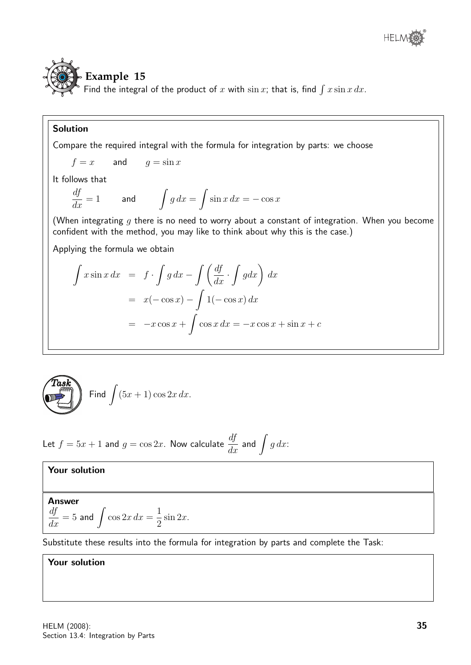# **Example 15**

Find the integral of the product of x with  $\sin x$ ; that is, find  $\int x \sin x \, dx$ .

## Solution

Compare the required integral with the formula for integration by parts: we choose

$$
f = x \qquad \text{and} \qquad g = \sin x
$$

It follows that

$$
\frac{df}{dx} = 1 \qquad \text{and} \qquad \int g \, dx = \int \sin x \, dx = -\cos x
$$

(When integrating q there is no need to worry about a constant of integration. When you become confident with the method, you may like to think about why this is the case.)

Applying the formula we obtain

$$
\int x \sin x \, dx = f \cdot \int g \, dx - \int \left(\frac{df}{dx} \cdot \int g dx\right) \, dx
$$

$$
= x(-\cos x) - \int 1(-\cos x) \, dx
$$

$$
= -x \cos x + \int \cos x \, dx = -x \cos x + \sin x + c
$$



Let 
$$
f = 5x + 1
$$
 and  $g = \cos 2x$ . Now calculate  $\frac{df}{dx}$  and  $\int g dx$ :

### Your solution

Answer  
\n
$$
\frac{df}{dx} = 5 \text{ and } \int \cos 2x \, dx = \frac{1}{2} \sin 2x.
$$

Substitute these results into the formula for integration by parts and complete the Task:

### Your solution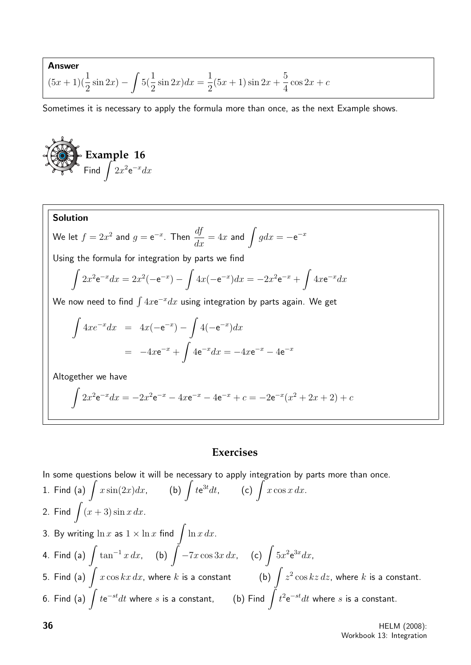**Answer**  

$$
(5x + 1)(\frac{1}{2}\sin 2x) - \int 5(\frac{1}{2}\sin 2x)dx = \frac{1}{2}(5x + 1)\sin 2x + \frac{5}{4}\cos 2x + c
$$

Sometimes it is necessary to apply the formula more than once, as the next Example shows.

**Example 16**  
Find 
$$
\int 2x^2 e^{-x} dx
$$

**Solution**  
\nWe let 
$$
f = 2x^2
$$
 and  $g = e^{-x}$ . Then  $\frac{df}{dx} = 4x$  and  $\int g dx = -e^{-x}$   
\nUsing the formula for integration by parts we find  
\n
$$
\int 2x^2 e^{-x} dx = 2x^2(-e^{-x}) - \int 4x(-e^{-x}) dx = -2x^2 e^{-x} + \int 4x e^{-x} dx
$$
\nWe now need to find  $\int 4x e^{-x} dx$  using integration by parts again. We get  
\n
$$
\int 4x e^{-x} dx = 4x(-e^{-x}) - \int 4(-e^{-x}) dx
$$
\n
$$
= -4x e^{-x} + \int 4e^{-x} dx = -4x e^{-x} - 4e^{-x}
$$
\nAltogether we have  
\n
$$
\int 2x^2 e^{-x} dx = -2x^2 e^{-x} - 4x e^{-x} - 4e^{-x} + c = -2e^{-x}(x^2 + 2x + 2) + c
$$

# **Exercises**

In some questions below it will be necessary to apply integration by parts more than once.

1. Find (a) 
$$
\int x \sin(2x) dx
$$
, (b)  $\int t e^{3t} dt$ , (c)  $\int x \cos x dx$ .  
\n2. Find  $\int (x+3) \sin x dx$ .  
\n3. By writing  $\ln x$  as  $1 \times \ln x$  find  $\int \ln x dx$ .  
\n4. Find (a)  $\int \tan^{-1} x dx$ , (b)  $\int -7x \cos 3x dx$ , (c)  $\int 5x^2 e^{3x} dx$ ,  
\n5. Find (a)  $\int x \cos kx dx$ , where k is a constant (b)  $\int z^2 \cos kz dz$ , where k is a constant.  
\n6. Find (a)  $\int t e^{-st} dt$  where s is a constant, (b) Find  $\int t^2 e^{-st} dt$  where s is a constant.

**36** HELM (2008): Workbook 13: Integration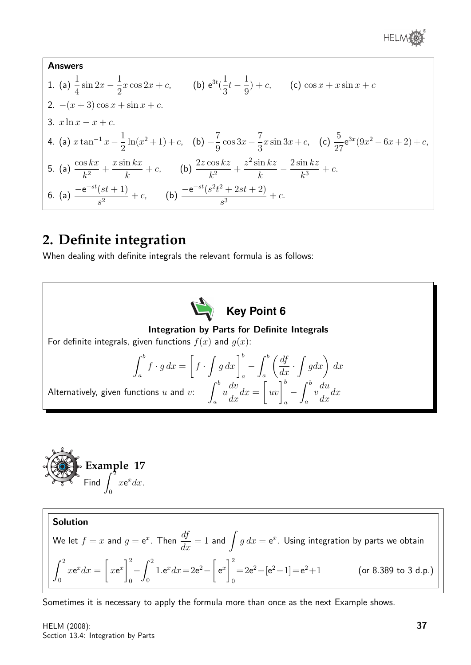

**Answers**  
\n1. (a) 
$$
\frac{1}{4} \sin 2x - \frac{1}{2}x \cos 2x + c
$$
, (b)  $e^{3t}(\frac{1}{3}t - \frac{1}{9}) + c$ , (c)  $\cos x + x \sin x + c$   
\n2.  $-(x+3)\cos x + \sin x + c$ .  
\n3.  $x \ln x - x + c$ .  
\n4. (a)  $x \tan^{-1} x - \frac{1}{2} \ln(x^2 + 1) + c$ , (b)  $-\frac{7}{9} \cos 3x - \frac{7}{3}x \sin 3x + c$ , (c)  $\frac{5}{27} e^{3x} (9x^2 - 6x + 2) + c$ ,  
\n5. (a)  $\frac{\cos kx}{k^2} + \frac{x \sin kx}{k} + c$ , (b)  $\frac{2z \cos kz}{k^2} + \frac{z^2 \sin kz}{k} - \frac{2 \sin kz}{k^3} + c$ .  
\n6. (a)  $\frac{-e^{-st}(st + 1)}{s^2} + c$ , (b)  $\frac{-e^{-st}(s^2t^2 + 2st + 2)}{s^3} + c$ .

# **2. Definite integration**

When dealing with definite integrals the relevant formula is as follows:





Solution We let  $f=x$  and  $g={\rm e}^x.$  Then  $\displaystyle{\frac{df}{dx}=1}$  and  $\displaystyle{\int g\,dx={\rm e}^x.}$  Using integration by parts we obtain  $\int_0^2$  $\boldsymbol{0}$  $xe^x dx =$  $\sqrt{ }$  $x e^x$ <sup>2</sup>  $\boldsymbol{0}$  $-\int_0^2$ 0  $1.e^x dx = 2e^2$  $e^x\Big]^2$ 0  $=2e^2 - [e^2 - 1] = e^2 + 1$  (or 8.389 to 3 d.p.)

Sometimes it is necessary to apply the formula more than once as the next Example shows.

HELM (2008): Section 13.4: Integration by Parts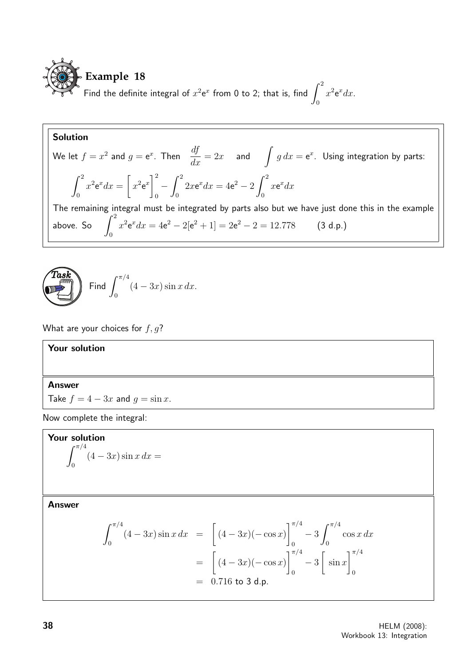

## Solution

We let 
$$
f = x^2
$$
 and  $g = e^x$ . Then  $\frac{df}{dx} = 2x$  and  $\int g dx = e^x$ . Using integration by parts:  
\n
$$
\int_0^2 x^2 e^x dx = \left[ x^2 e^x \right]_0^2 - \int_0^2 2x e^x dx = 4e^2 - 2 \int_0^2 x e^x dx
$$
\nThe remaining integral must be integrated by parts also but we have just done this in the example above. So  $\int_0^2 x^2 e^x dx = 4e^2 - 2[e^2 + 1] = 2e^2 - 2 = 12.778$  (3 d.p.)

$$
\left(\begin{matrix}\n\text{Task} \\
\text{Final}\n\end{matrix}\right) \quad \text{Find } \int_0^{\pi/4} (4 - 3x) \sin x \, dx.
$$

What are your choices for  $f, g$ ?

### Your solution

#### Answer

Take  $f = 4 - 3x$  and  $g = \sin x$ .

Now complete the integral:

**Your solution**  

$$
\int_0^{\pi/4} (4 - 3x) \sin x \, dx =
$$

Answer

$$
\int_0^{\pi/4} (4 - 3x) \sin x \, dx = \left[ (4 - 3x)(- \cos x) \right]_0^{\pi/4} - 3 \int_0^{\pi/4} \cos x \, dx
$$

$$
= \left[ (4 - 3x)(- \cos x) \right]_0^{\pi/4} - 3 \left[ \sin x \right]_0^{\pi/4}
$$

$$
= 0.716 \text{ to } 3 \text{ d.p.}
$$